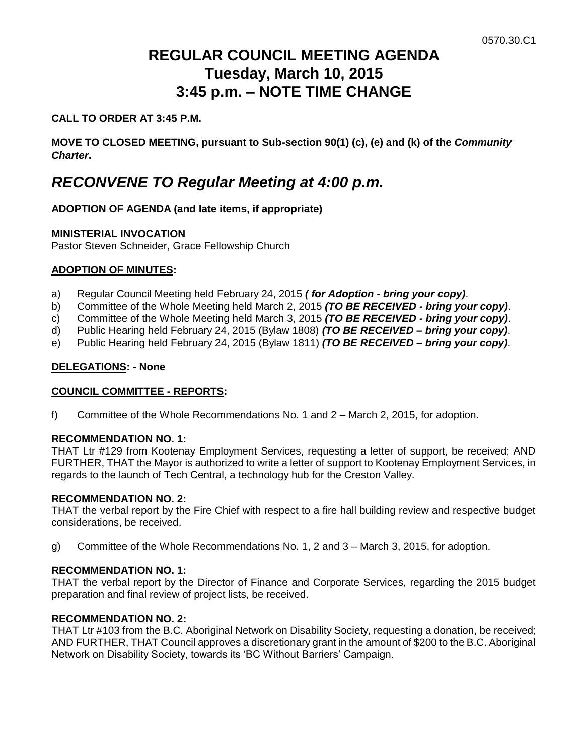# **REGULAR COUNCIL MEETING AGENDA Tuesday, March 10, 2015 3:45 p.m. – NOTE TIME CHANGE**

# **CALL TO ORDER AT 3:45 P.M.**

**MOVE TO CLOSED MEETING, pursuant to Sub-section 90(1) (c), (e) and (k) of the** *Community Charter***.**

# *RECONVENE TO Regular Meeting at 4:00 p.m.*

# **ADOPTION OF AGENDA (and late items, if appropriate)**

# **MINISTERIAL INVOCATION**

Pastor Steven Schneider, Grace Fellowship Church

# **ADOPTION OF MINUTES:**

- a) Regular Council Meeting held February 24, 2015 *( for Adoption - bring your copy)*.
- b) Committee of the Whole Meeting held March 2, 2015 *(TO BE RECEIVED - bring your copy)*.
- c) Committee of the Whole Meeting held March 3, 2015 *(TO BE RECEIVED - bring your copy)*.
- d) Public Hearing held February 24, 2015 (Bylaw 1808) *(TO BE RECEIVED – bring your copy)*.
- e) Public Hearing held February 24, 2015 (Bylaw 1811) *(TO BE RECEIVED – bring your copy)*.

# **DELEGATIONS: - None**

#### **COUNCIL COMMITTEE - REPORTS:**

f) Committee of the Whole Recommendations No. 1 and 2 – March 2, 2015, for adoption.

#### **RECOMMENDATION NO. 1:**

THAT Ltr #129 from Kootenay Employment Services, requesting a letter of support, be received; AND FURTHER, THAT the Mayor is authorized to write a letter of support to Kootenay Employment Services, in regards to the launch of Tech Central, a technology hub for the Creston Valley.

#### **RECOMMENDATION NO. 2:**

THAT the verbal report by the Fire Chief with respect to a fire hall building review and respective budget considerations, be received.

g) Committee of the Whole Recommendations No. 1, 2 and 3 – March 3, 2015, for adoption.

#### **RECOMMENDATION NO. 1:**

THAT the verbal report by the Director of Finance and Corporate Services, regarding the 2015 budget preparation and final review of project lists, be received.

## **RECOMMENDATION NO. 2:**

THAT Ltr #103 from the B.C. Aboriginal Network on Disability Society, requesting a donation, be received; AND FURTHER, THAT Council approves a discretionary grant in the amount of \$200 to the B.C. Aboriginal Network on Disability Society, towards its 'BC Without Barriers' Campaign.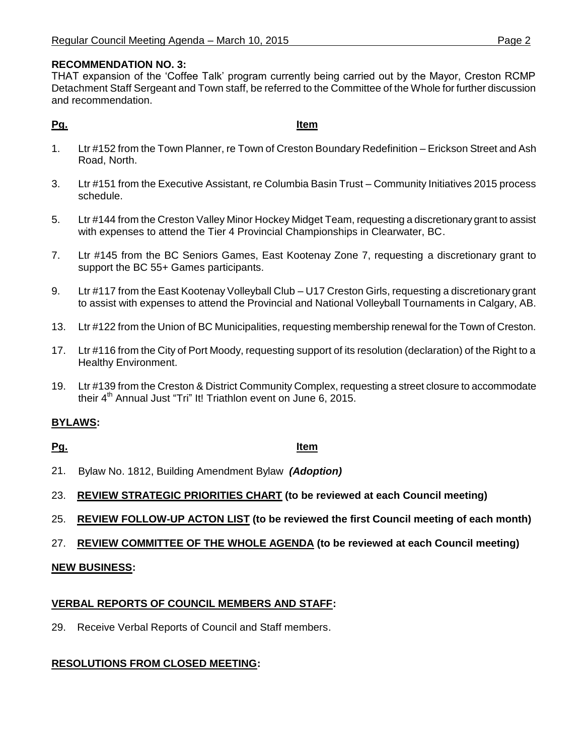# **RECOMMENDATION NO. 3:**

THAT expansion of the 'Coffee Talk' program currently being carried out by the Mayor, Creston RCMP Detachment Staff Sergeant and Town staff, be referred to the Committee of the Whole for further discussion and recommendation.

## **Pg. Item**

- 1. Ltr #152 from the Town Planner, re Town of Creston Boundary Redefinition Erickson Street and Ash Road, North.
- 3. Ltr #151 from the Executive Assistant, re Columbia Basin Trust Community Initiatives 2015 process schedule.
- 5. Ltr #144 from the Creston Valley Minor Hockey Midget Team, requesting a discretionary grant to assist with expenses to attend the Tier 4 Provincial Championships in Clearwater, BC.
- 7. Ltr #145 from the BC Seniors Games, East Kootenay Zone 7, requesting a discretionary grant to support the BC 55+ Games participants.
- 9. Ltr #117 from the East Kootenay Volleyball Club U17 Creston Girls, requesting a discretionary grant to assist with expenses to attend the Provincial and National Volleyball Tournaments in Calgary, AB.
- 13. Ltr #122 from the Union of BC Municipalities, requesting membership renewal for the Town of Creston.
- 17. Ltr #116 from the City of Port Moody, requesting support of its resolution (declaration) of the Right to a Healthy Environment.
- 19. Ltr #139 from the Creston & District Community Complex, requesting a street closure to accommodate their 4<sup>th</sup> Annual Just "Tri" It! Triathlon event on June 6, 2015.

# **BYLAWS:**

#### **Pg. Item**

- 21. Bylaw No. 1812, Building Amendment Bylaw *(Adoption)*
- 23. **REVIEW STRATEGIC PRIORITIES CHART (to be reviewed at each Council meeting)**
- 25. **REVIEW FOLLOW-UP ACTON LIST (to be reviewed the first Council meeting of each month)**
- 27. **REVIEW COMMITTEE OF THE WHOLE AGENDA (to be reviewed at each Council meeting)**

# **NEW BUSINESS:**

# **VERBAL REPORTS OF COUNCIL MEMBERS AND STAFF:**

29. Receive Verbal Reports of Council and Staff members.

# **RESOLUTIONS FROM CLOSED MEETING:**